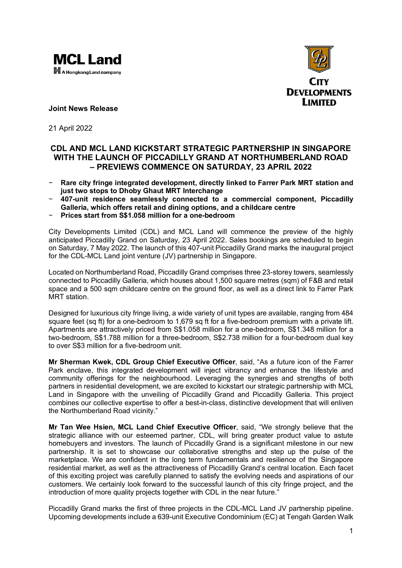



**Joint News Release**

21 April 2022

# **CDL AND MCL LAND KICKSTART STRATEGIC PARTNERSHIP IN SINGAPORE WITH THE LAUNCH OF PICCADILLY GRAND AT NORTHUMBERLAND ROAD – PREVIEWS COMMENCE ON SATURDAY, 23 APRIL 2022**

- − **Rare city fringe integrated development, directly linked to Farrer Park MRT station and just two stops to Dhoby Ghaut MRT Interchange**
- − **407-unit residence seamlessly connected to a commercial component, Piccadilly Galleria, which offers retail and dining options, and a childcare centre**
- − **Prices start from S\$1.058 million for a one-bedroom**

City Developments Limited (CDL) and MCL Land will commence the preview of the highly anticipated Piccadilly Grand on Saturday, 23 April 2022. Sales bookings are scheduled to begin on Saturday, 7 May 2022. The launch of this 407-unit Piccadilly Grand marks the inaugural project for the CDL-MCL Land joint venture (JV) partnership in Singapore.

Located on Northumberland Road, Piccadilly Grand comprises three 23-storey towers, seamlessly connected to Piccadilly Galleria, which houses about 1,500 square metres (sqm) of F&B and retail space and a 500 sqm childcare centre on the ground floor, as well as a direct link to Farrer Park MRT station.

Designed for luxurious city fringe living, a wide variety of unit types are available, ranging from 484 square feet (sq ft) for a one-bedroom to 1,679 sq ft for a five-bedroom premium with a private lift. Apartments are attractively priced from S\$1.058 million for a one-bedroom, S\$1.348 million for a two-bedroom, S\$1.788 million for a three-bedroom, S\$2.738 million for a four-bedroom dual key to over S\$3 million for a five-bedroom unit.

**Mr Sherman Kwek, CDL Group Chief Executive Officer**, said, "As a future icon of the Farrer Park enclave, this integrated development will inject vibrancy and enhance the lifestyle and community offerings for the neighbourhood. Leveraging the synergies and strengths of both partners in residential development, we are excited to kickstart our strategic partnership with MCL Land in Singapore with the unveiling of Piccadilly Grand and Piccadilly Galleria. This project combines our collective expertise to offer a best-in-class, distinctive development that will enliven the Northumberland Road vicinity."

**Mr Tan Wee Hsien, MCL Land Chief Executive Officer**, said, "We strongly believe that the strategic alliance with our esteemed partner, CDL, will bring greater product value to astute homebuyers and investors. The launch of Piccadilly Grand is a significant milestone in our new partnership. It is set to showcase our collaborative strengths and step up the pulse of the marketplace. We are confident in the long term fundamentals and resilience of the Singapore residential market, as well as the attractiveness of Piccadilly Grand's central location. Each facet of this exciting project was carefully planned to satisfy the evolving needs and aspirations of our customers. We certainly look forward to the successful launch of this city fringe project, and the introduction of more quality projects together with CDL in the near future."

Piccadilly Grand marks the first of three projects in the CDL-MCL Land JV partnership pipeline. Upcoming developments include a 639-unit Executive Condominium (EC) at Tengah Garden Walk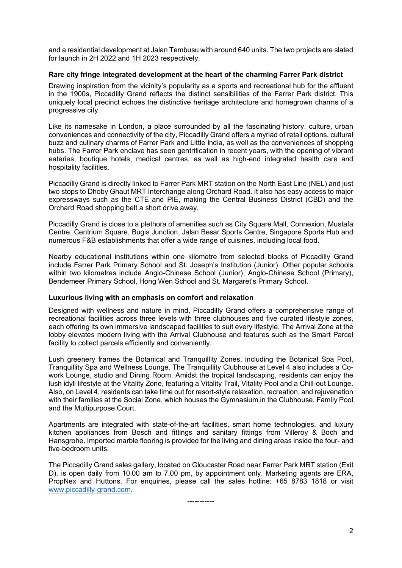and a residential development at Jalan Tembusu with around 640 units. The two projects are slated for launch in 2H 2022 and 1H 2023 respectively.

#### **Rare city fringe integrated development at the heart of the charming Farrer Park district**

Drawing inspiration from the vicinity's popularity as a sports and recreational hub for the affluent in the 1900s, Piccadilly Grand reflects the distinct sensibilities of the Farrer Park district. This uniquely local precinct echoes the distinctive heritage architecture and homegrown charms of a progressive city.

Like its namesake in London, a place surrounded by all the fascinating history, culture, urban conveniences and connectivity of the city, Piccadilly Grand offers a myriad of retail options, cultural buzz and culinary charms of Farrer Park and Little India, as well as the conveniences of shopping hubs. The Farrer Park enclave has seen gentrification in recent years, with the opening of vibrant eateries, boutique hotels, medical centres, as well as high-end integrated health care and hospitality facilities.

Piccadilly Grand is directly linked to Farrer Park MRT station on the North East Line (NEL) and just two stops to Dhoby Ghaut MRT Interchange along Orchard Road. It also has easy access to major expressways such as the CTE and PIE, making the Central Business District (CBD) and the Orchard Road shopping belt a short drive away.

Piccadilly Grand is close to a plethora of amenities such as City Square Mall, Connexion, Mustafa Centre, Centrium Square, Bugis Junction, Jalan Besar Sports Centre, Singapore Sports Hub and numerous F&B establishments that offer a wide range of cuisines, including local food.

Nearby educational institutions within one kilometre from selected blocks of Piccadilly Grand include Farrer Park Primary School and St. Joseph's Institution (Junior). Other popular schools within two kilometres include Anglo-Chinese School (Junior), Anglo-Chinese School (Primary), Bendemeer Primary School, Hong Wen School and St. Margaret's Primary School.

## **Luxurious living with an emphasis on comfort and relaxation**

Designed with wellness and nature in mind, Piccadilly Grand offers a comprehensive range of recreational facilities across three levels with three clubhouses and five curated lifestyle zones, each offering its own immersive landscaped facilities to suit every lifestyle. The Arrival Zone at the lobby elevates modern living with the Arrival Clubhouse and features such as the Smart Parcel facility to collect parcels efficiently and conveniently.

Lush greenery frames the Botanical and Tranquillity Zones, including the Botanical Spa Pool, Tranquillity Spa and Wellness Lounge. The Tranquillity Clubhouse at Level 4 also includes a Cowork Lounge, studio and Dining Room. Amidst the tropical landscaping, residents can enjoy the lush idyll lifestyle at the Vitality Zone, featuring a Vitality Trail, Vitality Pool and a Chill-out Lounge. Also, on Level 4, residents can take time out for resort-style relaxation, recreation, and rejuvenation with their families at the Social Zone, which houses the Gymnasium in the Clubhouse, Family Pool and the Multipurpose Court.

Apartments are integrated with state-of-the-art facilities, smart home technologies, and luxury kitchen appliances from Bosch and fittings and sanitary fittings from Villeroy & Boch and Hansgrohe. Imported marble flooring is provided for the living and dining areas inside the four- and five-bedroom units.

The Piccadilly Grand sales gallery, located on Gloucester Road near Farrer Park MRT station (Exit D), is open daily from 10.00 am to 7.00 pm, by appointment only. Marketing agents are ERA, PropNex and Huttons. For enquiries, please call the sales hotline: +65 8783 1818 or visit [www.piccadilly-grand.com.](http://www.piccadilly-grand.com/)

-----------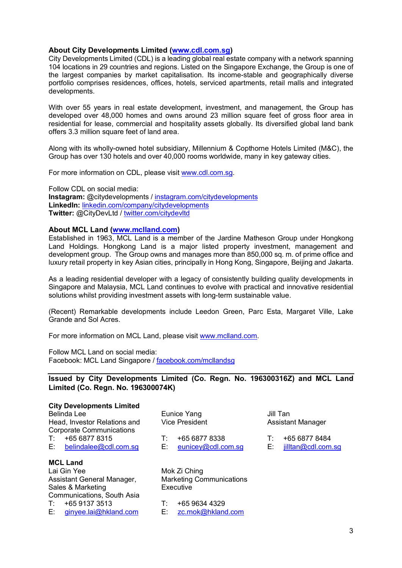## **About City Developments Limited [\(www.cdl.com.sg\)](http://www.cdl.com.sg/)**

City Developments Limited (CDL) is a leading global real estate company with a network spanning 104 locations in 29 countries and regions. Listed on the Singapore Exchange, the Group is one of the largest companies by market capitalisation. Its income-stable and geographically diverse portfolio comprises residences, offices, hotels, serviced apartments, retail malls and integrated developments.

With over 55 years in real estate development, investment, and management, the Group has developed over 48,000 homes and owns around 23 million square feet of gross floor area in residential for lease, commercial and hospitality assets globally. Its diversified global land bank offers 3.3 million square feet of land area.

Along with its wholly-owned hotel subsidiary, Millennium & Copthorne Hotels Limited (M&C), the Group has over 130 hotels and over 40,000 rooms worldwide, many in key gateway cities.

For more information on CDL, please visit www.cdl.com.sg.

Follow CDL on social media: **Instagram:** @citydevelopments / [instagram.com/citydevelopments](http://www.instagram.com/citydevelopments) **LinkedIn:** [linkedin.com/company/citydevelopments](http://www.linkedin.com/company/city-developments-limited) **Twitter:** @CityDevLtd / [twitter.com/citydevltd](http://www.twitter.com/citydevltd)

## **About MCL Land [\(www.mclland.com\)](http://www.mclland.com/)**

Established in 1963, MCL Land is a member of the Jardine Matheson Group under Hongkong Land Holdings. Hongkong Land is a major listed property investment, management and development group. The Group owns and manages more than 850,000 sq. m. of prime office and luxury retail property in key Asian cities, principally in Hong Kong, Singapore, Beijing and Jakarta.

As a leading residential developer with a legacy of consistently building quality developments in Singapore and Malaysia, MCL Land continues to evolve with practical and innovative residential solutions whilst providing investment assets with long-term sustainable value.

(Recent) Remarkable developments include Leedon Green, Parc Esta, Margaret Ville, Lake Grande and Sol Acres.

For more information on MCL Land, please visit [www.mclland.com.](http://www.mclland.com/)

Follow MCL Land on social media: Facebook: MCL Land Singapore / facebook.com/mcllandsg

**Issued by City Developments Limited (Co. Regn. No. 196300316Z) and MCL Land Limited (Co. Regn. No. 196300074K)**

| <b>City Developments Limited</b> |                                 |
|----------------------------------|---------------------------------|
| <b>Belinda Lee</b>               | Eunice Yang                     |
| Head, Investor Relations and     | <b>Vice President</b>           |
| <b>Corporate Communications</b>  |                                 |
| $T: +6568778315$                 | +65 6877 8338<br>T:             |
| E: belindalee@cdl.com.sg         | E: I<br>eunicey@cdl.com.sg      |
|                                  |                                 |
| <b>MCL Land</b>                  |                                 |
| Lai Gin Yee                      | Mok Zi Ching                    |
| Assistant General Manager,       | <b>Marketing Communications</b> |
| Sales & Marketing                | Executive                       |
| Communications, South Asia       |                                 |
| $T: +6591373513$                 | +65 9634 4329<br>T:             |

E: [ginyee.lai@hkland.com](mailto:ginyee.lai@hkland.com)

Jill Tan Assistant Manager

T: +65 6877 8484

E: [jilltan@cdl.com.sg](mailto:jilltan@cdl.com.sg)

T: +65 9634 4329

E: [zc.mok@hkland.com](mailto:zc.mok@hkland.com)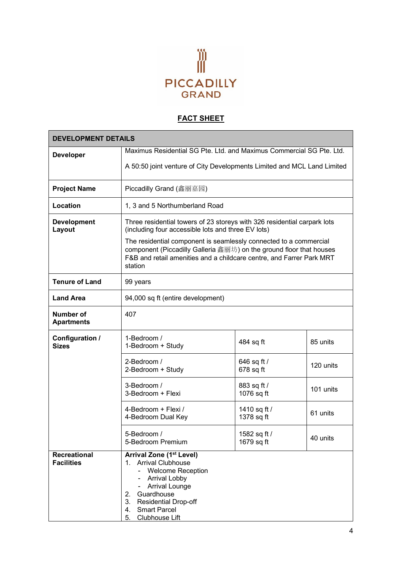

# **FACT SHEET**

|                                       | <b>DEVELOPMENT DETAILS</b>                                                                                                                                                                                                                            |                            |           |  |  |
|---------------------------------------|-------------------------------------------------------------------------------------------------------------------------------------------------------------------------------------------------------------------------------------------------------|----------------------------|-----------|--|--|
| <b>Developer</b>                      | Maximus Residential SG Pte. Ltd. and Maximus Commercial SG Pte. Ltd.                                                                                                                                                                                  |                            |           |  |  |
|                                       | A 50:50 joint venture of City Developments Limited and MCL Land Limited                                                                                                                                                                               |                            |           |  |  |
| <b>Project Name</b>                   | Piccadilly Grand (鑫丽嘉园)                                                                                                                                                                                                                               |                            |           |  |  |
| Location                              | 1, 3 and 5 Northumberland Road                                                                                                                                                                                                                        |                            |           |  |  |
| <b>Development</b><br>Layout          | Three residential towers of 23 storeys with 326 residential carpark lots<br>(including four accessible lots and three EV lots)                                                                                                                        |                            |           |  |  |
|                                       | The residential component is seamlessly connected to a commercial<br>component (Piccadilly Galleria 鑫丽坊) on the ground floor that houses<br>F&B and retail amenities and a childcare centre, and Farrer Park MRT<br>station                           |                            |           |  |  |
| <b>Tenure of Land</b>                 | 99 years                                                                                                                                                                                                                                              |                            |           |  |  |
| <b>Land Area</b>                      | 94,000 sq ft (entire development)                                                                                                                                                                                                                     |                            |           |  |  |
| <b>Number of</b><br><b>Apartments</b> | 407                                                                                                                                                                                                                                                   |                            |           |  |  |
| Configuration /<br><b>Sizes</b>       | 1-Bedroom /<br>1-Bedroom + Study                                                                                                                                                                                                                      | 484 sq ft                  | 85 units  |  |  |
|                                       | 2-Bedroom /<br>2-Bedroom + Study                                                                                                                                                                                                                      | 646 sq ft /<br>678 sq ft   | 120 units |  |  |
|                                       | 3-Bedroom /<br>3-Bedroom + Flexi                                                                                                                                                                                                                      | 883 sq ft /<br>1076 sq ft  | 101 units |  |  |
|                                       | 4-Bedroom + Flexi /<br>4-Bedroom Dual Key                                                                                                                                                                                                             | 1410 sq ft /<br>1378 sq ft | 61 units  |  |  |
|                                       | 5-Bedroom /<br>5-Bedroom Premium                                                                                                                                                                                                                      | 1582 sq ft /<br>1679 sq ft | 40 units  |  |  |
| Recreational<br><b>Facilities</b>     | <b>Arrival Zone (1st Level)</b><br><b>Arrival Clubhouse</b><br>1.<br><b>Welcome Reception</b><br>Arrival Lobby<br><b>Arrival Lounge</b><br>Guardhouse<br>2.<br>3.<br><b>Residential Drop-off</b><br>4.<br><b>Smart Parcel</b><br>Clubhouse Lift<br>5. |                            |           |  |  |

ń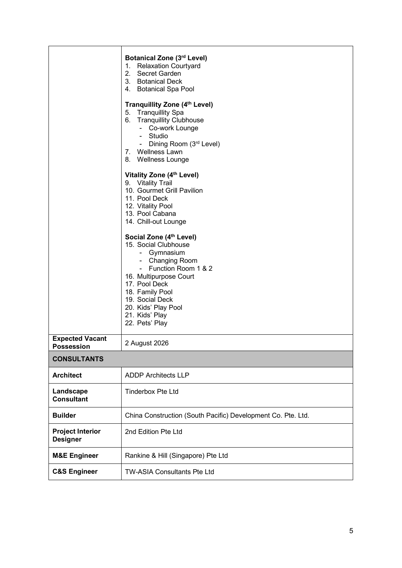|                                             | Botanical Zone (3rd Level)<br>1. Relaxation Courtyard<br>2. Secret Garden<br>3. Botanical Deck<br>4. Botanical Spa Pool<br>Tranquillity Zone (4th Level)<br>5. Tranquillity Spa<br>6. Tranquillity Clubhouse<br>- Co-work Lounge<br>- Studio<br>- Dining Room (3rd Level)<br>7. Wellness Lawn<br>8. Wellness Lounge<br>Vitality Zone (4th Level)<br>9. Vitality Trail<br>10. Gourmet Grill Pavilion<br>11. Pool Deck<br>12. Vitality Pool<br>13. Pool Cabana<br>14. Chill-out Lounge<br>Social Zone (4th Level)<br>15. Social Clubhouse<br>- Gymnasium<br>- Changing Room<br>- Function Room 1 & 2<br>16. Multipurpose Court<br>17. Pool Deck<br>18. Family Pool<br>19. Social Deck<br>20. Kids' Play Pool<br>21. Kids' Play |
|---------------------------------------------|------------------------------------------------------------------------------------------------------------------------------------------------------------------------------------------------------------------------------------------------------------------------------------------------------------------------------------------------------------------------------------------------------------------------------------------------------------------------------------------------------------------------------------------------------------------------------------------------------------------------------------------------------------------------------------------------------------------------------|
|                                             | 22. Pets' Play                                                                                                                                                                                                                                                                                                                                                                                                                                                                                                                                                                                                                                                                                                               |
| <b>Expected Vacant</b><br><b>Possession</b> | 2 August 2026                                                                                                                                                                                                                                                                                                                                                                                                                                                                                                                                                                                                                                                                                                                |
| <b>CONSULTANTS</b>                          |                                                                                                                                                                                                                                                                                                                                                                                                                                                                                                                                                                                                                                                                                                                              |
| <b>Architect</b>                            | <b>ADDP Architects LLP</b>                                                                                                                                                                                                                                                                                                                                                                                                                                                                                                                                                                                                                                                                                                   |
| Landscape<br><b>Consultant</b>              | <b>Tinderbox Pte Ltd</b>                                                                                                                                                                                                                                                                                                                                                                                                                                                                                                                                                                                                                                                                                                     |
| <b>Builder</b>                              | China Construction (South Pacific) Development Co. Pte. Ltd.                                                                                                                                                                                                                                                                                                                                                                                                                                                                                                                                                                                                                                                                 |
| <b>Project Interior</b><br><b>Designer</b>  | 2nd Edition Pte Ltd                                                                                                                                                                                                                                                                                                                                                                                                                                                                                                                                                                                                                                                                                                          |
| <b>M&amp;E Engineer</b>                     | Rankine & Hill (Singapore) Pte Ltd                                                                                                                                                                                                                                                                                                                                                                                                                                                                                                                                                                                                                                                                                           |
| <b>C&amp;S Engineer</b>                     | TW-ASIA Consultants Pte Ltd                                                                                                                                                                                                                                                                                                                                                                                                                                                                                                                                                                                                                                                                                                  |